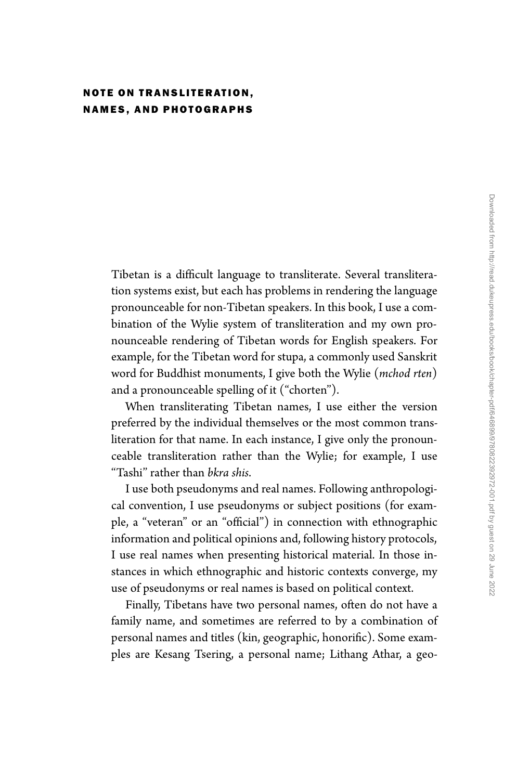## NOTE ON TRANSLITERATION, NAMES, AND PHOTOGRAPHS

Tibetan is a difficult language to transliterate. Several transliteration systems exist, but each has problems in rendering the language pronounceable for non-Tibetan speakers. In this book, I use a combination of the Wylie system of transliteration and my own pronounceable rendering of Tibetan words for English speakers. For example, for the Tibetan word for stupa, a commonly used Sanskrit word for Buddhist monuments, I give both the Wylie (*mchod rten*) and a pronounceable spelling of it (''chorten'').

When transliterating Tibetan names, I use either the version preferred by the individual themselves or the most common transliteration for that name. In each instance, I give only the pronounceable transliteration rather than the Wylie; for example, I use ''Tashi'' rather than *bkra shis*.

I use both pseudonyms and real names. Following anthropological convention, I use pseudonyms or subject positions (for example, a ''veteran'' or an ''official'') in connection with ethnographic information and political opinions and, following history protocols, I use real names when presenting historical material. In those instances in which ethnographic and historic contexts converge, my use of pseudonyms or real names is based on political context.

Finally, Tibetans have two personal names, often do not have a family name, and sometimes are referred to by a combination of personal names and titles (kin, geographic, honorific). Some examples are Kesang Tsering, a personal name; Lithang Athar, a geo-